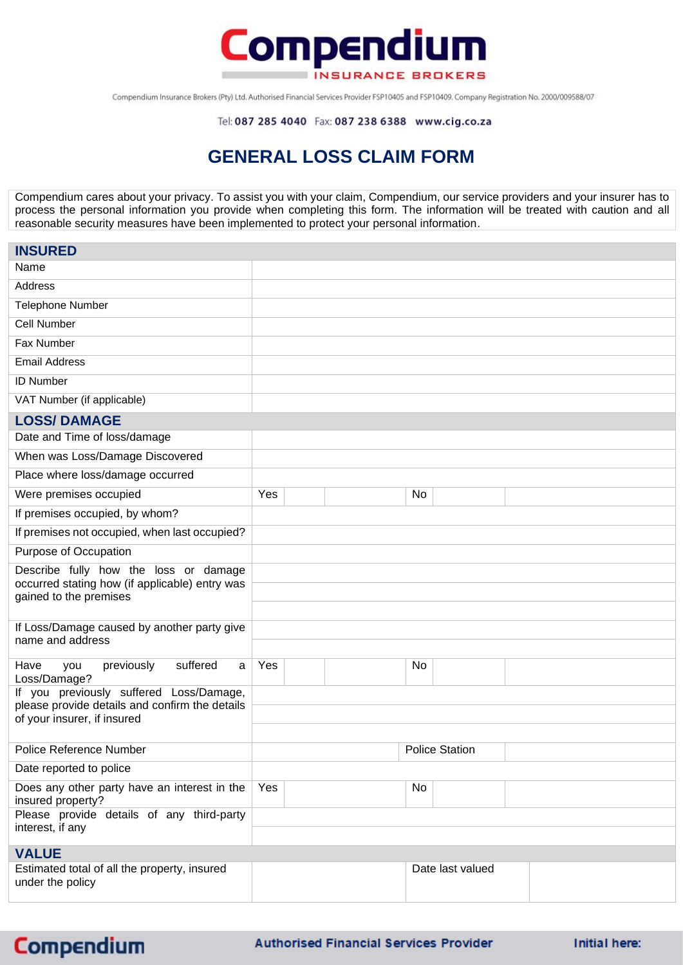

Compendium Insurance Brokers (Pty) Ltd. Authorised Financial Services Provider FSP10405 and FSP10409. Company Registration No. 2000/009588/07

Tel: 087 285 4040 Fax: 087 238 6388 www.cig.co.za

## **GENERAL LOSS CLAIM FORM**

Compendium cares about your privacy. To assist you with your claim, Compendium, our service providers and your insurer has to process the personal information you provide when completing this form. The information will be treated with caution and all reasonable security measures have been implemented to protect your personal information.

| <b>INSURED</b>                                                                                                           |     |  |    |                       |  |
|--------------------------------------------------------------------------------------------------------------------------|-----|--|----|-----------------------|--|
| Name                                                                                                                     |     |  |    |                       |  |
| Address                                                                                                                  |     |  |    |                       |  |
| <b>Telephone Number</b>                                                                                                  |     |  |    |                       |  |
| Cell Number                                                                                                              |     |  |    |                       |  |
| Fax Number                                                                                                               |     |  |    |                       |  |
| <b>Email Address</b>                                                                                                     |     |  |    |                       |  |
| <b>ID Number</b>                                                                                                         |     |  |    |                       |  |
| VAT Number (if applicable)                                                                                               |     |  |    |                       |  |
| <b>LOSS/DAMAGE</b>                                                                                                       |     |  |    |                       |  |
| Date and Time of loss/damage                                                                                             |     |  |    |                       |  |
| When was Loss/Damage Discovered                                                                                          |     |  |    |                       |  |
| Place where loss/damage occurred                                                                                         |     |  |    |                       |  |
| Were premises occupied                                                                                                   | Yes |  | No |                       |  |
| If premises occupied, by whom?                                                                                           |     |  |    |                       |  |
| If premises not occupied, when last occupied?                                                                            |     |  |    |                       |  |
| Purpose of Occupation                                                                                                    |     |  |    |                       |  |
| Describe fully how the loss or damage<br>occurred stating how (if applicable) entry was<br>gained to the premises        |     |  |    |                       |  |
|                                                                                                                          |     |  |    |                       |  |
| If Loss/Damage caused by another party give<br>name and address                                                          |     |  |    |                       |  |
| suffered<br>previously<br>Have<br>$\mathsf{a}$<br>you<br>Loss/Damage?                                                    | Yes |  | No |                       |  |
| If you previously suffered Loss/Damage,<br>please provide details and confirm the details<br>of your insurer, if insured |     |  |    |                       |  |
|                                                                                                                          |     |  |    |                       |  |
| <b>Police Reference Number</b>                                                                                           |     |  |    | <b>Police Station</b> |  |
| Date reported to police                                                                                                  |     |  |    |                       |  |
| Does any other party have an interest in the<br>insured property?                                                        | Yes |  | No |                       |  |
| Please provide details of any third-party<br>interest, if any                                                            |     |  |    |                       |  |
| <b>VALUE</b>                                                                                                             |     |  |    |                       |  |
| Estimated total of all the property, insured<br>under the policy                                                         |     |  |    | Date last valued      |  |